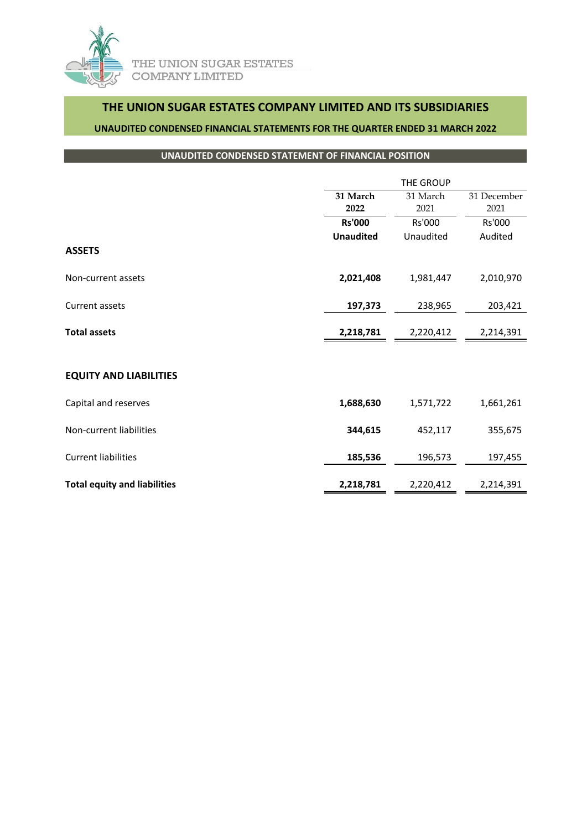

# **THE UNION SUGAR ESTATES COMPANY LIMITED AND ITS SUBSIDIARIES**

### **UNAUDITED CONDENSED FINANCIAL STATEMENTS FOR THE QUARTER ENDED 31 MARCH 2022**

### **UNAUDITED CONDENSED STATEMENT OF FINANCIAL POSITION**

|                                     | <b>THE GROUP</b> |           |             |
|-------------------------------------|------------------|-----------|-------------|
|                                     | 31 March         | 31 March  | 31 December |
|                                     | 2022             | 2021      | 2021        |
|                                     | <b>Rs'000</b>    | Rs'000    | Rs'000      |
|                                     | <b>Unaudited</b> | Unaudited | Audited     |
| <b>ASSETS</b>                       |                  |           |             |
| Non-current assets                  | 2,021,408        | 1,981,447 | 2,010,970   |
| Current assets                      | 197,373          | 238,965   | 203,421     |
| <b>Total assets</b>                 | 2,218,781        | 2,220,412 | 2,214,391   |
|                                     |                  |           |             |
| <b>EQUITY AND LIABILITIES</b>       |                  |           |             |
| Capital and reserves                | 1,688,630        | 1,571,722 | 1,661,261   |
| Non-current liabilities             | 344,615          | 452,117   | 355,675     |
| <b>Current liabilities</b>          | 185,536          | 196,573   | 197,455     |
| <b>Total equity and liabilities</b> | 2,218,781        | 2,220,412 | 2,214,391   |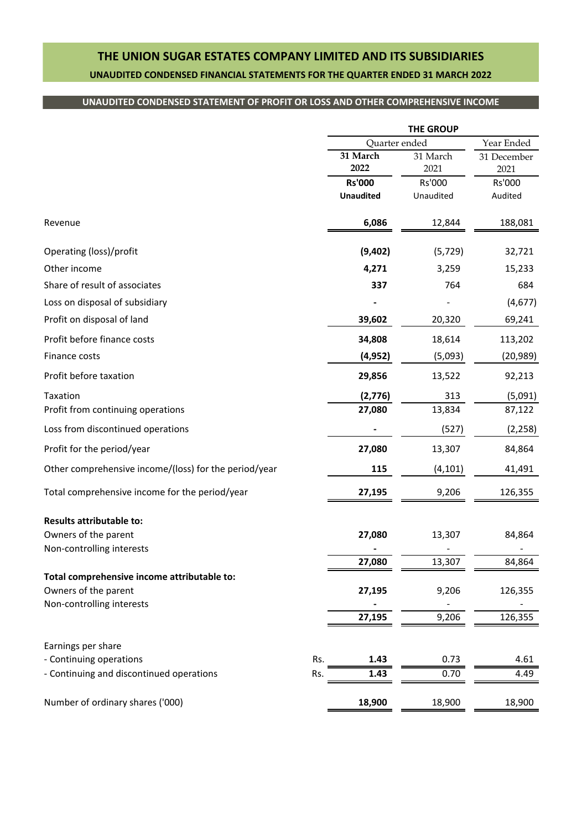# **THE UNION SUGAR ESTATES COMPANY LIMITED AND ITS SUBSIDIARIES UNAUDITED CONDENSED FINANCIAL STATEMENTS FOR THE QUARTER ENDED 31 MARCH 2022**

## **UNAUDITED CONDENSED STATEMENT OF PROFIT OR LOSS AND OTHER COMPREHENSIVE INCOME**

|                                                       |     | <b>THE GROUP</b> |                  |                     |
|-------------------------------------------------------|-----|------------------|------------------|---------------------|
|                                                       |     | Quarter ended    | Year Ended       |                     |
|                                                       |     | 31 March<br>2022 | 31 March<br>2021 | 31 December<br>2021 |
|                                                       |     | <b>Rs'000</b>    | Rs'000           | Rs'000              |
|                                                       |     | <b>Unaudited</b> | Unaudited        | Audited             |
| Revenue                                               |     | 6,086            | 12,844           | 188,081             |
| Operating (loss)/profit                               |     | (9,402)          | (5, 729)         | 32,721              |
| Other income                                          |     | 4,271            | 3,259            | 15,233              |
| Share of result of associates                         |     | 337              | 764              | 684                 |
| Loss on disposal of subsidiary                        |     |                  |                  | (4,677)             |
| Profit on disposal of land                            |     | 39,602           | 20,320           | 69,241              |
| Profit before finance costs                           |     | 34,808           | 18,614           | 113,202             |
| Finance costs                                         |     | (4, 952)         | (5,093)          | (20, 989)           |
| Profit before taxation                                |     | 29,856           | 13,522           | 92,213              |
| Taxation                                              |     | (2,776)          | 313              | (5,091)             |
| Profit from continuing operations                     |     | 27,080           | 13,834           | 87,122              |
| Loss from discontinued operations                     |     |                  | (527)            | (2, 258)            |
| Profit for the period/year                            |     | 27,080           | 13,307           | 84,864              |
| Other comprehensive income/(loss) for the period/year |     | 115              | (4, 101)         | 41,491              |
| Total comprehensive income for the period/year        |     | 27,195           | 9,206            | 126,355             |
| <b>Results attributable to:</b>                       |     |                  |                  |                     |
| Owners of the parent                                  |     | 27,080           | 13,307           | 84,864              |
| Non-controlling interests                             |     | 27.080           | 13.307           | 84.864              |
| Total comprehensive income attributable to:           |     |                  |                  |                     |
| Owners of the parent                                  |     | 27,195           | 9,206            | 126,355             |
| Non-controlling interests                             |     |                  |                  |                     |
|                                                       |     | 27,195           | 9,206            | 126,355             |
| Earnings per share                                    |     |                  |                  |                     |
| - Continuing operations                               | Rs. | 1.43             | 0.73             | 4.61                |
| - Continuing and discontinued operations              | Rs. | 1.43             | 0.70             | 4.49                |
| Number of ordinary shares ('000)                      |     | 18,900           | 18,900           | 18,900              |
|                                                       |     |                  |                  |                     |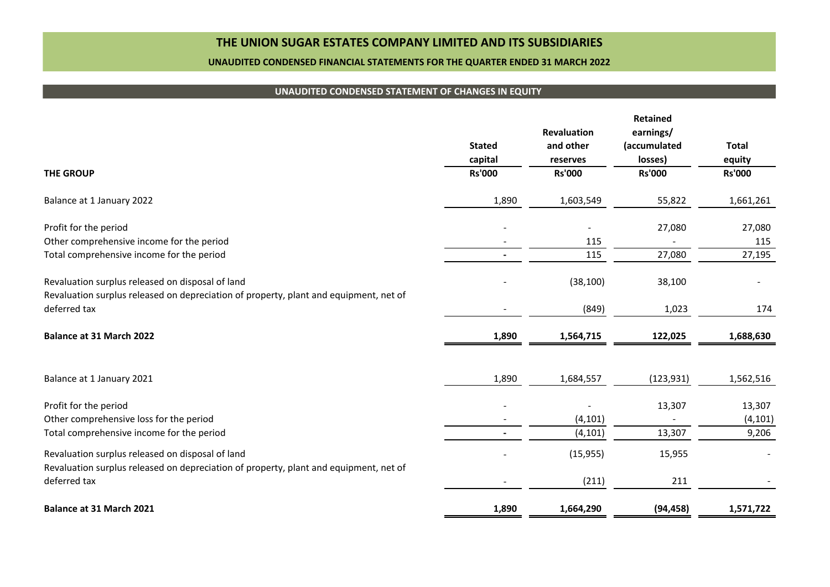## **THE UNION SUGAR ESTATES COMPANY LIMITED AND ITS SUBSIDIARIES**

#### **UNAUDITED CONDENSED FINANCIAL STATEMENTS FOR THE QUARTER ENDED 31 MARCH 2022**

### **UNAUDITED CONDENSED STATEMENT OF CHANGES IN EQUITY**

|                                                                                                                                           | <b>Stated</b><br>capital | <b>Revaluation</b><br>and other<br>reserves | Retained<br>earnings/<br>(accumulated<br>losses) | <b>Total</b><br>equity |
|-------------------------------------------------------------------------------------------------------------------------------------------|--------------------------|---------------------------------------------|--------------------------------------------------|------------------------|
| <b>THE GROUP</b>                                                                                                                          | <b>Rs'000</b>            | <b>Rs'000</b>                               | <b>Rs'000</b>                                    | <b>Rs'000</b>          |
| Balance at 1 January 2022                                                                                                                 | 1,890                    | 1,603,549                                   | 55,822                                           | 1,661,261              |
| Profit for the period                                                                                                                     |                          |                                             | 27,080                                           | 27,080                 |
| Other comprehensive income for the period                                                                                                 |                          | 115                                         |                                                  | 115                    |
| Total comprehensive income for the period                                                                                                 |                          | 115                                         | 27,080                                           | 27,195                 |
| Revaluation surplus released on disposal of land<br>Revaluation surplus released on depreciation of property, plant and equipment, net of |                          | (38, 100)                                   | 38,100                                           |                        |
| deferred tax                                                                                                                              |                          | (849)                                       | 1,023                                            | 174                    |
| Balance at 31 March 2022                                                                                                                  | 1,890                    | 1,564,715                                   | 122,025                                          | 1,688,630              |
| Balance at 1 January 2021                                                                                                                 | 1,890                    | 1,684,557                                   | (123, 931)                                       | 1,562,516              |
| Profit for the period                                                                                                                     |                          |                                             | 13,307                                           | 13,307                 |
| Other comprehensive loss for the period                                                                                                   |                          | (4, 101)                                    |                                                  | (4, 101)               |
| Total comprehensive income for the period                                                                                                 |                          | (4, 101)                                    | 13,307                                           | 9,206                  |
| Revaluation surplus released on disposal of land<br>Revaluation surplus released on depreciation of property, plant and equipment, net of |                          | (15, 955)                                   | 15,955                                           |                        |
| deferred tax                                                                                                                              |                          | (211)                                       | 211                                              |                        |
| Balance at 31 March 2021                                                                                                                  | 1,890                    | 1,664,290                                   | (94, 458)                                        | 1,571,722              |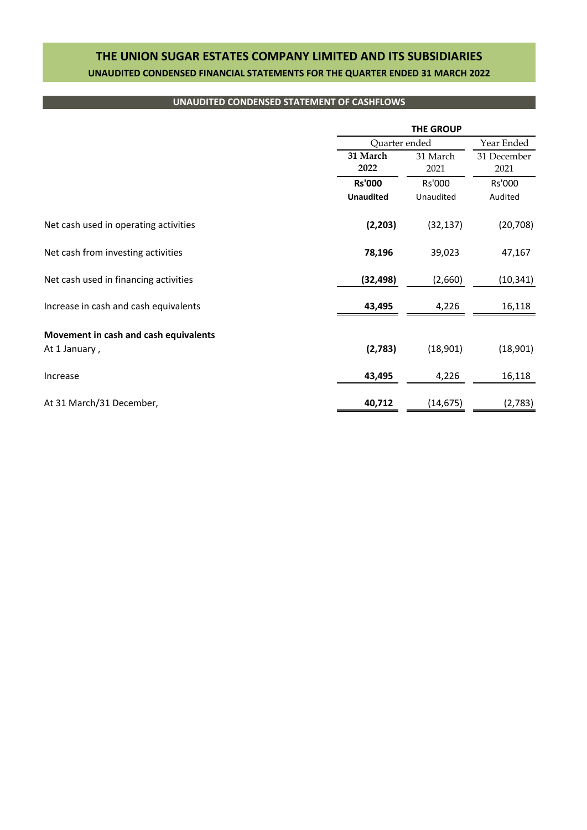# **THE UNION SUGAR ESTATES COMPANY LIMITED AND ITS SUBSIDIARIES UNAUDITED CONDENSED FINANCIAL STATEMENTS FOR THE QUARTER ENDED 31 MARCH 2022**

### **UNAUDITED CONDENSED STATEMENT OF CASHFLOWS**

|                                       |                  | <b>THE GROUP</b> |                     |  |
|---------------------------------------|------------------|------------------|---------------------|--|
|                                       |                  | Quarter ended    |                     |  |
|                                       | 31 March<br>2022 | 31 March<br>2021 | 31 December<br>2021 |  |
|                                       | <b>Rs'000</b>    | Rs'000           | Rs'000              |  |
|                                       | <b>Unaudited</b> | Unaudited        | Audited             |  |
| Net cash used in operating activities | (2, 203)         | (32, 137)        | (20, 708)           |  |
| Net cash from investing activities    | 78,196           | 39,023           | 47,167              |  |
| Net cash used in financing activities | (32, 498)        | (2,660)          | (10, 341)           |  |
| Increase in cash and cash equivalents | 43,495           | 4,226            | 16,118              |  |
| Movement in cash and cash equivalents |                  |                  |                     |  |
| At 1 January,                         | (2,783)          | (18,901)         | (18,901)            |  |
| Increase                              | 43,495           | 4,226            | 16,118              |  |
| At 31 March/31 December,              | 40,712           | (14, 675)        | (2,783)             |  |